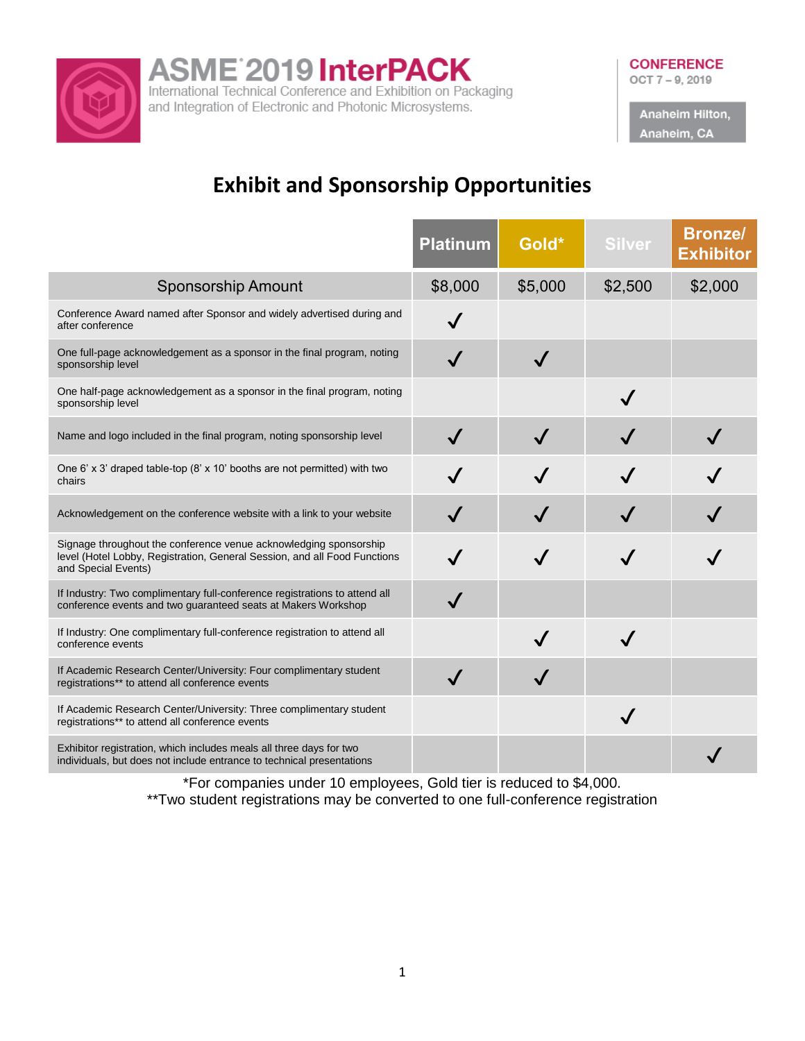

ASME<sup>2019</sup> InterPACK<br>International Technical Conference and Exhibition on Packaging

and Integration of Electronic and Photonic Microsystems.

Anaheim Hilton, Anaheim, CA

# **Exhibit and Sponsorship Opportunities**

|                                                                                                                                                                       | <b>Platinum</b> | Gold*   | <b>Silver</b> | <b>Bronze/</b><br><b>Exhibitor</b> |
|-----------------------------------------------------------------------------------------------------------------------------------------------------------------------|-----------------|---------|---------------|------------------------------------|
| <b>Sponsorship Amount</b>                                                                                                                                             | \$8,000         | \$5,000 | \$2,500       | \$2,000                            |
| Conference Award named after Sponsor and widely advertised during and<br>after conference                                                                             | $\checkmark$    |         |               |                                    |
| One full-page acknowledgement as a sponsor in the final program, noting<br>sponsorship level                                                                          |                 |         |               |                                    |
| One half-page acknowledgement as a sponsor in the final program, noting<br>sponsorship level                                                                          |                 |         | $\checkmark$  |                                    |
| Name and logo included in the final program, noting sponsorship level                                                                                                 |                 |         |               |                                    |
| One 6' x 3' draped table-top (8' x 10' booths are not permitted) with two<br>chairs                                                                                   |                 |         |               |                                    |
| Acknowledgement on the conference website with a link to your website                                                                                                 |                 |         |               |                                    |
| Signage throughout the conference venue acknowledging sponsorship<br>level (Hotel Lobby, Registration, General Session, and all Food Functions<br>and Special Events) |                 |         |               |                                    |
| If Industry: Two complimentary full-conference registrations to attend all<br>conference events and two guaranteed seats at Makers Workshop                           |                 |         |               |                                    |
| If Industry: One complimentary full-conference registration to attend all<br>conference events                                                                        |                 |         |               |                                    |
| If Academic Research Center/University: Four complimentary student<br>registrations** to attend all conference events                                                 | $\checkmark$    |         |               |                                    |
| If Academic Research Center/University: Three complimentary student<br>registrations** to attend all conference events                                                |                 |         | $\checkmark$  |                                    |
| Exhibitor registration, which includes meals all three days for two<br>individuals, but does not include entrance to technical presentations                          |                 |         |               |                                    |

\*For companies under 10 employees, Gold tier is reduced to \$4,000. \*\*Two student registrations may be converted to one full-conference registration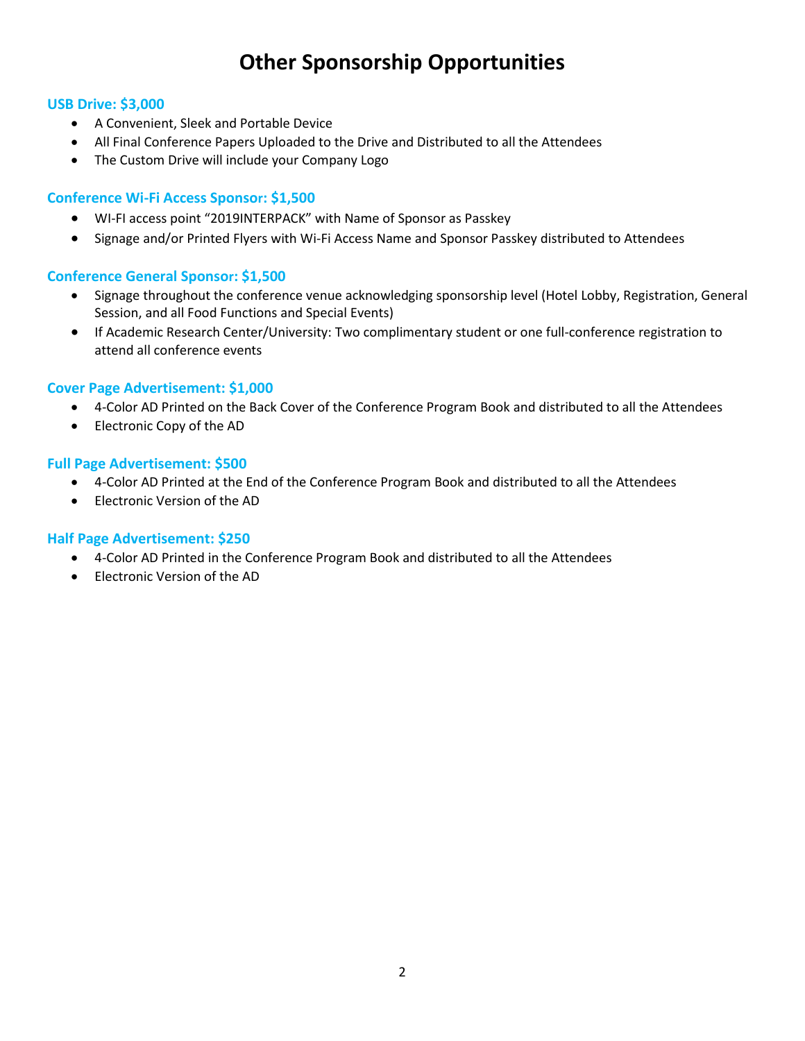# **Other Sponsorship Opportunities**

#### **USB Drive: \$3,000**

- A Convenient, Sleek and Portable Device
- All Final Conference Papers Uploaded to the Drive and Distributed to all the Attendees
- The Custom Drive will include your Company Logo

## **Conference Wi-Fi Access Sponsor: \$1,500**

- WI-FI access point "2019INTERPACK" with Name of Sponsor as Passkey
- Signage and/or Printed Flyers with Wi-Fi Access Name and Sponsor Passkey distributed to Attendees

## **Conference General Sponsor: \$1,500**

- Signage throughout the conference venue acknowledging sponsorship level (Hotel Lobby, Registration, General Session, and all Food Functions and Special Events)
- If Academic Research Center/University: Two complimentary student or one full-conference registration to attend all conference events

## **Cover Page Advertisement: \$1,000**

- 4-Color AD Printed on the Back Cover of the Conference Program Book and distributed to all the Attendees
- Electronic Copy of the AD

#### **Full Page Advertisement: \$500**

- 4-Color AD Printed at the End of the Conference Program Book and distributed to all the Attendees
- Electronic Version of the AD

#### **Half Page Advertisement: \$250**

- 4-Color AD Printed in the Conference Program Book and distributed to all the Attendees
- Electronic Version of the AD